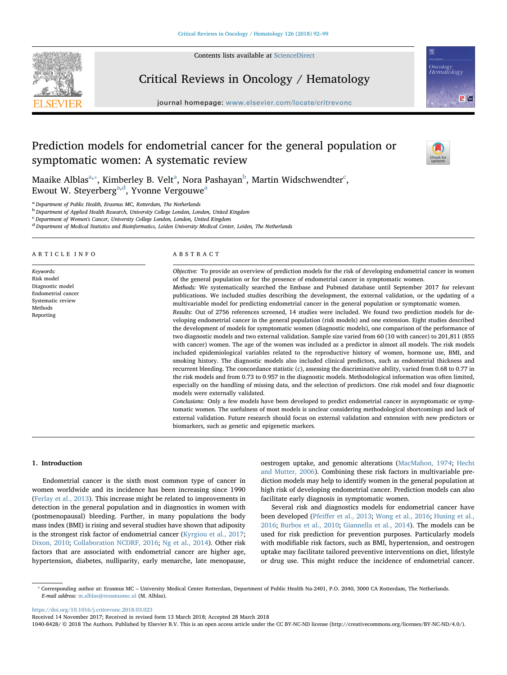

Contents lists available at [ScienceDirect](http://www.sciencedirect.com/science/journal/10408428)

# Critical Reviews in Oncology / Hematology

journal homepage: [www.elsevier.com/locate/critrevonc](https://www.elsevier.com/locate/critrevonc)





Oncology<br>Hematology

 $8^{\circ}$ 

M[a](#page-0-0)aike Al[b](#page-0-2)las $^{\rm a, *},$  $^{\rm a, *},$  $^{\rm a, *},$  Kimberley B. Velt $^{\rm a}$ , Nora Pashayan $^{\rm b}$ , Martin Wids[c](#page-0-3)hwendter $^{\rm c}$ , Ewout W. Steyerberg<sup>[a](#page-0-0)[,d](#page-0-4)</sup>, Yvonne Vergouwe<sup>a</sup>

<span id="page-0-0"></span><sup>a</sup> Department of Public Health, Erasmus MC, Rotterdam, The Netherlands

<span id="page-0-2"></span><sup>b</sup> Department of Applied Health Research, University College London, London, United Kingdom

<span id="page-0-3"></span>c Department of Women's Cancer, University College London, London, United Kingdom

<span id="page-0-4"></span><sup>d</sup> Department of Medical Statistics and Bioinformatics, Leiden University Medical Center, Leiden, The Netherlands

ARTICLE INFO

Keywords: Risk model Diagnostic model Endometrial cancer Systematic review Methods Reporting

## ABSTRACT

Objective: To provide an overview of prediction models for the risk of developing endometrial cancer in women of the general population or for the presence of endometrial cancer in symptomatic women. Methods: We systematically searched the Embase and Pubmed database until September 2017 for relevant publications. We included studies describing the development, the external validation, or the updating of a multivariable model for predicting endometrial cancer in the general population or symptomatic women. Results: Out of 2756 references screened, 14 studies were included. We found two prediction models for developing endometrial cancer in the general population (risk models) and one extension. Eight studies described

the development of models for symptomatic women (diagnostic models), one comparison of the performance of two diagnostic models and two external validation. Sample size varied from 60 (10 with cancer) to 201,811 (855 with cancer) women. The age of the women was included as a predictor in almost all models. The risk models included epidemiological variables related to the reproductive history of women, hormone use, BMI, and smoking history. The diagnostic models also included clinical predictors, such as endometrial thickness and recurrent bleeding. The concordance statistic (c), assessing the discriminative ability, varied from 0.68 to 0.77 in the risk models and from 0.73 to 0.957 in the diagnostic models. Methodological information was often limited, especially on the handling of missing data, and the selection of predictors. One risk model and four diagnostic models were externally validated.

Conclusions: Only a few models have been developed to predict endometrial cancer in asymptomatic or symptomatic women. The usefulness of most models is unclear considering methodological shortcomings and lack of external validation. Future research should focus on external validation and extension with new predictors or biomarkers, such as genetic and epigenetic markers.

## 1. Introduction

Endometrial cancer is the sixth most common type of cancer in women worldwide and its incidence has been increasing since 1990 ([Ferlay et al., 2013\)](#page-6-0). This increase might be related to improvements in detection in the general population and in diagnostics in women with (postmenopausal) bleeding. Further, in many populations the body mass index (BMI) is rising and several studies have shown that adiposity is the strongest risk factor of endometrial cancer [\(Kyrgiou et al., 2017](#page-6-1); [Dixon, 2010](#page-6-2); [Collaboration NCDRF, 2016](#page-6-3); [Ng et al., 2014\)](#page-7-0). Other risk factors that are associated with endometrial cancer are higher age, hypertension, diabetes, nulliparity, early menarche, late menopause,

oestrogen uptake, and genomic alterations [\(MacMahon, 1974](#page-6-4); [Hecht](#page-6-5) [and Mutter, 2006\)](#page-6-5). Combining these risk factors in multivariable prediction models may help to identify women in the general population at high risk of developing endometrial cancer. Prediction models can also facilitate early diagnosis in symptomatic women.

Several risk and diagnostics models for endometrial cancer have been developed (Pfeiff[er et al., 2013;](#page-7-1) [Wong et al., 2016](#page-7-2); [Husing et al.,](#page-6-6) [2016;](#page-6-6) [Burbos et al., 2010](#page-6-7); [Giannella et al., 2014\)](#page-6-8). The models can be used for risk prediction for prevention purposes. Particularly models with modifiable risk factors, such as BMI, hypertension, and oestrogen uptake may facilitate tailored preventive interventions on diet, lifestyle or drug use. This might reduce the incidence of endometrial cancer.

<https://doi.org/10.1016/j.critrevonc.2018.03.023>

Received 14 November 2017; Received in revised form 13 March 2018; Accepted 28 March 2018

1040-8428/ © 2018 The Authors. Published by Elsevier B.V. This is an open access article under the CC BY-NC-ND license (http://creativecommons.org/licenses/BY-NC-ND/4.0/).

<span id="page-0-1"></span><sup>⁎</sup> Corresponding author at: Erasmus MC – University Medical Center Rotterdam, Department of Public Health Na-2401, P.O. 2040, 3000 CA Rotterdam, The Netherlands. E-mail address: [m.alblas@erasmusmc.nl](mailto:m.alblas@erasmusmc.nl) (M. Alblas).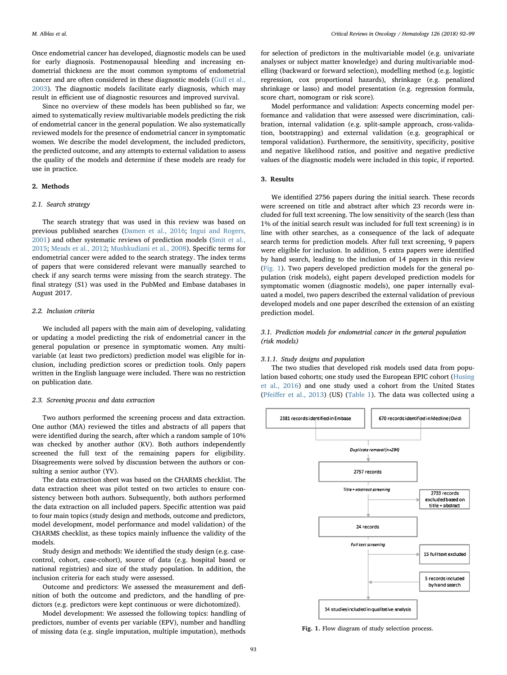Once endometrial cancer has developed, diagnostic models can be used for early diagnosis. Postmenopausal bleeding and increasing endometrial thickness are the most common symptoms of endometrial cancer and are often considered in these diagnostic models ([Gull et al.,](#page-6-9) [2003\)](#page-6-9). The diagnostic models facilitate early diagnosis, which may result in efficient use of diagnostic resources and improved survival.

Since no overview of these models has been published so far, we aimed to systematically review multivariable models predicting the risk of endometrial cancer in the general population. We also systematically reviewed models for the presence of endometrial cancer in symptomatic women. We describe the model development, the included predictors, the predicted outcome, and any attempts to external validation to assess the quality of the models and determine if these models are ready for use in practice.

## 2. Methods

## 2.1. Search strategy

The search strategy that was used in this review was based on previous published searches [\(Damen et al., 2016;](#page-6-10) [Ingui and Rogers,](#page-6-11) [2001\)](#page-6-11) and other systematic reviews of prediction models [\(Smit et al.,](#page-7-3) [2015;](#page-7-3) [Meads et al., 2012;](#page-6-12) [Mushkudiani et al., 2008](#page-7-4)). Specific terms for endometrial cancer were added to the search strategy. The index terms of papers that were considered relevant were manually searched to check if any search terms were missing from the search strategy. The final strategy (S1) was used in the PubMed and Embase databases in August 2017.

### 2.2. Inclusion criteria

We included all papers with the main aim of developing, validating or updating a model predicting the risk of endometrial cancer in the general population or presence in symptomatic women. Any multivariable (at least two predictors) prediction model was eligible for inclusion, including prediction scores or prediction tools. Only papers written in the English language were included. There was no restriction on publication date.

#### 2.3. Screening process and data extraction

Two authors performed the screening process and data extraction. One author (MA) reviewed the titles and abstracts of all papers that were identified during the search, after which a random sample of 10% was checked by another author (KV). Both authors independently screened the full text of the remaining papers for eligibility. Disagreements were solved by discussion between the authors or consulting a senior author (YV).

The data extraction sheet was based on the CHARMS checklist. The data extraction sheet was pilot tested on two articles to ensure consistency between both authors. Subsequently, both authors performed the data extraction on all included papers. Specific attention was paid to four main topics (study design and methods, outcome and predictors, model development, model performance and model validation) of the CHARMS checklist, as these topics mainly influence the validity of the models.

Study design and methods: We identified the study design (e.g. casecontrol, cohort, case-cohort), source of data (e.g. hospital based or national registries) and size of the study population. In addition, the inclusion criteria for each study were assessed.

Outcome and predictors: We assessed the measurement and definition of both the outcome and predictors, and the handling of predictors (e.g. predictors were kept continuous or were dichotomized).

Model development: We assessed the following topics: handling of predictors, number of events per variable (EPV), number and handling of missing data (e.g. single imputation, multiple imputation), methods

for selection of predictors in the multivariable model (e.g. univariate analyses or subject matter knowledge) and during multivariable modelling (backward or forward selection), modelling method (e.g. logistic regression, cox proportional hazards), shrinkage (e.g. penalized shrinkage or lasso) and model presentation (e.g. regression formula, score chart, nomogram or risk score).

Model performance and validation: Aspects concerning model performance and validation that were assessed were discrimination, calibration, internal validation (e.g. split-sample approach, cross-validation, bootstrapping) and external validation (e.g. geographical or temporal validation). Furthermore, the sensitivity, specificity, positive and negative likelihood ratios, and positive and negative predictive values of the diagnostic models were included in this topic, if reported.

#### 3. Results

We identified 2756 papers during the initial search. These records were screened on title and abstract after which 23 records were included for full text screening. The low sensitivity of the search (less than 1% of the initial search result was included for full text screening) is in line with other searches, as a consequence of the lack of adequate search terms for prediction models. After full text screening, 9 papers were eligible for inclusion. In addition, 5 extra papers were identified by hand search, leading to the inclusion of 14 papers in this review ([Fig. 1](#page-1-0)). Two papers developed prediction models for the general population (risk models), eight papers developed prediction models for symptomatic women (diagnostic models), one paper internally evaluated a model, two papers described the external validation of previous developed models and one paper described the extension of an existing prediction model.

## 3.1. Prediction models for endometrial cancer in the general population (risk models)

#### 3.1.1. Study designs and population

The two studies that developed risk models used data from population based cohorts; one study used the European EPIC cohort ([Husing](#page-6-6) [et al., 2016\)](#page-6-6) and one study used a cohort from the United States (Pfeiff[er et al., 2013\)](#page-7-1) (US) [\(Table 1](#page-2-0)). The data was collected using a

<span id="page-1-0"></span>

Fig. 1. Flow diagram of study selection process.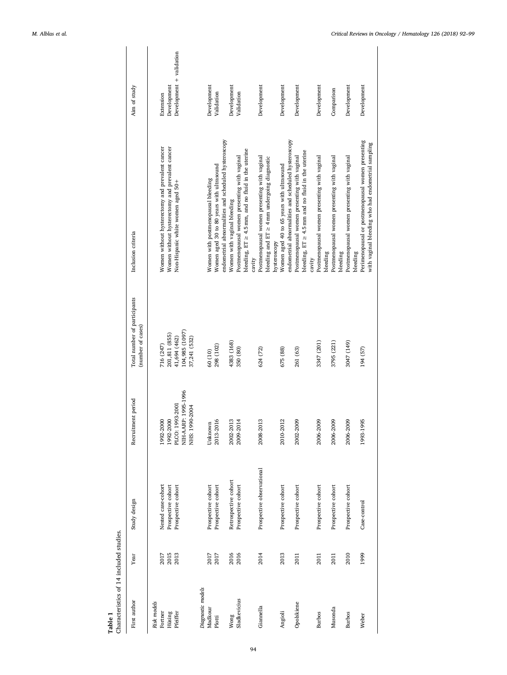<span id="page-2-0"></span>

| Characteristics of 14 included studies.<br>Table 1 |      |                           |                                       |                                                   |                                                                                                         |                          |
|----------------------------------------------------|------|---------------------------|---------------------------------------|---------------------------------------------------|---------------------------------------------------------------------------------------------------------|--------------------------|
| First author                                       | Year | Study design              | Recruitment period                    | Total number of participants<br>(number of cases) | Inclusion criteria                                                                                      | Aim of study             |
| Risk models                                        |      |                           |                                       |                                                   |                                                                                                         |                          |
| Fortner                                            | 2017 | Nested case-cohort        | 1992-2000                             | 716 (247)                                         | Women without hysterectomy and prevalent cancer                                                         | Extension                |
| Hüsing                                             | 2015 | Prospective cohort        | 1992-2000                             | 201,811 (855)                                     | Women without hysterectomy and prevalent cancer                                                         | Development              |
| Pfeiffer                                           | 2013 | Prospective cohort        | 1993-2001<br>PLCO:                    | 41,694 (462)                                      | Non-Hispanic white women aged 50+                                                                       | Development + validation |
|                                                    |      |                           | NIH-AARP: 1995-1996<br>NHS: 1990-2004 | 104,985 (1097)<br>37,241 (532)                    |                                                                                                         |                          |
| Diagnostic models                                  |      |                           |                                       |                                                   |                                                                                                         |                          |
| Madkour                                            | 2017 | Prospective cohort        | Unknown                               | 60 (10)                                           | Women with postmenopausal bleeding                                                                      | Development              |
| Plotti                                             | 2017 | Prospective cohort        | 2013-2016                             | 298 (102)                                         | Women aged 30 to 80 years with ultrasound                                                               | Validation               |
|                                                    |      |                           |                                       |                                                   | endometrial abnormalities and scheduled hysteroscopy                                                    |                          |
| Wong                                               | 2016 | Retrospective cohort      | 2002-2013                             | 4383 (168)                                        | Women with vaginal bleeding                                                                             | Development              |
| Sladkevicius                                       | 2016 | Prospective cohort        | 2009-2014                             | 350 (80)                                          | bleeding, $ET \geq 4.5$ mm, and no fluid in the uterine<br>Postmenopausal women presenting with vaginal | Validation               |
|                                                    |      |                           |                                       |                                                   | cavity                                                                                                  |                          |
| Giannella                                          | 2014 | Prospective observational | 2008-2013                             | 624 (72)                                          | Postmenopausal women presenting with vaginal                                                            | Development              |
|                                                    |      |                           |                                       |                                                   | bleeding and $ET \geq 4$ mm undergoing diagnostic                                                       |                          |
|                                                    |      |                           |                                       |                                                   | hysteroscopy                                                                                            |                          |
| Angioli                                            | 2013 | Prospective cohort        | 2010-2012                             | 675 (88)                                          | endometrial abnormalities and scheduled hysteroscopy<br>Women aged 40 to 65 years with ultrasound       | Development              |
| Opolskiene                                         | 2011 | Prospective cohort        | 2002-2009                             | 261 (63)                                          | Postmenopausal women presenting with vaginal                                                            | Development              |
|                                                    |      |                           |                                       |                                                   | bleeding, $ET \geq 4.5$ mm and no fluid in the uterine                                                  |                          |
|                                                    |      |                           |                                       |                                                   | cavity                                                                                                  |                          |
| <b>Burbos</b>                                      | 2011 | Prospective cohort        | 2006-2009                             | 3347 (201)                                        | Postmenopausal women presenting with vaginal<br>bleeding                                                | Development              |
| Musonda                                            | 2011 | Prospective cohort        | 2006-2009                             | 3795 (221)                                        | Postmenopausal women presenting with vaginal<br>bleeding                                                | Comparison               |
|                                                    |      |                           |                                       |                                                   |                                                                                                         |                          |
| <b>Burbos</b>                                      | 2010 | Prospective cohort        | 2006-2009                             | 3047 (149)                                        | Postmenopausal women presenting with vaginal<br>bleeding                                                | Development              |
| Weber                                              | 1999 | Case-control              | 995<br>1993-1                         | 194 (57)                                          | Perimenopausal or postmenopausal women presenting                                                       | Development              |
|                                                    |      |                           |                                       |                                                   | with vaginal bleeding who had endometrial sampling                                                      |                          |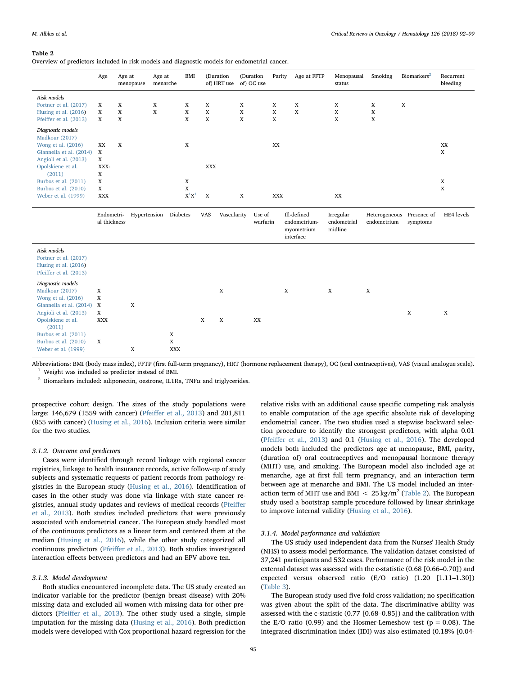#### <span id="page-3-0"></span>Table 2

Overview of predictors included in risk models and diagnostic models for endometrial cancer.

|                                                                                                                                                                                                                     | Age                                                         | Age at<br>menopause   | Age at<br>menarche        | <b>BMI</b>                        | (Duration<br>of) HRT use        |                       | (Duration<br>of) OC use | Parity                | Age at FFTP                                            | Menopausal<br>status                | Smoking                         | Biomarkers <sup>2</sup> | Recurrent<br>bleeding                           |
|---------------------------------------------------------------------------------------------------------------------------------------------------------------------------------------------------------------------|-------------------------------------------------------------|-----------------------|---------------------------|-----------------------------------|---------------------------------|-----------------------|-------------------------|-----------------------|--------------------------------------------------------|-------------------------------------|---------------------------------|-------------------------|-------------------------------------------------|
| Risk models<br>Fortner et al. (2017)<br>Husing et al. (2016)<br>Pfeiffer et al. (2013)                                                                                                                              | X<br>$\mathbf X$<br>X                                       | X<br>$\mathbf X$<br>X | X<br>$\mathbf X$          | X<br>$\mathbf X$<br>X             | X<br>$\mathbf X$<br>$\mathbf X$ | X<br>$\mathbf X$<br>X |                         | X<br>$\mathbf X$<br>X | X<br>$\mathbf X$                                       | X<br>$\mathbf X$<br>X               | X<br>$\mathbf X$<br>$\mathbf X$ | $\mathbf X$             |                                                 |
| Diagnostic models<br>Madkour (2017)<br>Wong et al. (2016)<br>Giannella et al. (2014)<br>Angioli et al. (2013)<br>Opolskiene et al.<br>(2011)<br>Burbos et al. (2011)<br>Burbos et al. (2010)<br>Weber et al. (1999) | XX<br>$\mathbf x$<br>X<br>XXX-<br>X<br>X<br>X<br><b>XXX</b> | X                     |                           | $\mathbf X$<br>X<br>X<br>$X^1X^1$ | <b>XXX</b><br>$\mathbf X$       | X                     |                         | XX<br><b>XXX</b>      |                                                        | XX                                  |                                 |                         | XX<br>$\mathbf X$<br>$\mathbf X$<br>$\mathbf X$ |
|                                                                                                                                                                                                                     | Endometri-<br>al thickness                                  | Hypertension          | Diabetes                  |                                   | <b>VAS</b>                      | Vascularity           | Use of<br>warfarin      |                       | Ill-defined<br>endometrium-<br>myometrium<br>interface | Irregular<br>endometrial<br>midline | Heterogeneous<br>endometrium    | Presence of<br>symptoms | HE4 levels                                      |
| Risk models<br>Fortner et al. (2017)<br>Husing et al. (2016)<br>Pfeiffer et al. (2013)                                                                                                                              |                                                             |                       |                           |                                   |                                 |                       |                         |                       |                                                        |                                     |                                 |                         |                                                 |
| Diagnostic models<br>Madkour (2017)<br>Wong et al. (2016)<br>Giannella et al. (2014)<br>Angioli et al. (2013)<br>Opolskiene et al.<br>(2011)<br>Burbos et al. (2011)                                                | X<br>X<br>$\mathbf X$<br>X<br><b>XXX</b>                    | $\mathbf X$           | X                         |                                   | $\mathbf X$<br>X<br>X           |                       | XX                      | X                     |                                                        | $\mathbf X$                         | X                               | X                       | $\mathbf x$                                     |
| Burbos et al. (2010)<br>Weber et al. (1999)                                                                                                                                                                         | X                                                           | $\mathbf x$           | $\mathbf X$<br><b>XXX</b> |                                   |                                 |                       |                         |                       |                                                        |                                     |                                 |                         |                                                 |

<span id="page-3-2"></span>Abbreviations: BMI (body mass index), FFTP (first full-term pregnancy), HRT (hormone replacement therapy), OC (oral contraceptives), VAS (visual analogue scale).  $^1\,$  Weight was included as predictor instead of BMI.

<span id="page-3-1"></span><sup>2</sup> Biomarkers included: adiponectin, oestrone, IL1Ra, TNF $\alpha$  and triglycerides.

prospective cohort design. The sizes of the study populations were large: 146,679 (1559 with cancer) (Pfeiff[er et al., 2013](#page-7-1)) and 201,811 (855 with cancer) ([Husing et al., 2016](#page-6-6)). Inclusion criteria were similar for the two studies.

#### 3.1.2. Outcome and predictors

Cases were identified through record linkage with regional cancer registries, linkage to health insurance records, active follow-up of study subjects and systematic requests of patient records from pathology registries in the European study ([Husing et al., 2016\)](#page-6-6). Identification of cases in the other study was done via linkage with state cancer registries, annual study updates and reviews of medical records ([Pfei](#page-7-1)ffer [et al., 2013](#page-7-1)). Both studies included predictors that were previously associated with endometrial cancer. The European study handled most of the continuous predictors as a linear term and centered them at the median ([Husing et al., 2016](#page-6-6)), while the other study categorized all continuous predictors (Pfeiff[er et al., 2013\)](#page-7-1). Both studies investigated interaction effects between predictors and had an EPV above ten.

## 3.1.3. Model development

Both studies encountered incomplete data. The US study created an indicator variable for the predictor (benign breast disease) with 20% missing data and excluded all women with missing data for other predictors (Pfeiff[er et al., 2013\)](#page-7-1). The other study used a single, simple imputation for the missing data ([Husing et al., 2016](#page-6-6)). Both prediction models were developed with Cox proportional hazard regression for the relative risks with an additional cause specific competing risk analysis to enable computation of the age specific absolute risk of developing endometrial cancer. The two studies used a stepwise backward selection procedure to identify the strongest predictors, with alpha 0.01 (Pfeiff[er et al., 2013](#page-7-1)) and 0.1 ([Husing et al., 2016](#page-6-6)). The developed models both included the predictors age at menopause, BMI, parity, (duration of) oral contraceptives and menopausal hormone therapy (MHT) use, and smoking. The European model also included age at menarche, age at first full term pregnancy, and an interaction term between age at menarche and BMI. The US model included an interaction term of MHT use and BMI  $\langle$  25 kg/m<sup>2</sup> ([Table 2](#page-3-0)). The European study used a bootstrap sample procedure followed by linear shrinkage to improve internal validity [\(Husing et al., 2016](#page-6-6)).

#### 3.1.4. Model performance and validation

The US study used independent data from the Nurses' Health Study (NHS) to assess model performance. The validation dataset consisted of 37,241 participants and 532 cases. Performance of the risk model in the external dataset was assessed with the c-statistic (0.68 [0.66–0.70]) and expected versus observed ratio (E/O ratio) (1.20 [1.11–1.30]) ([Table 3](#page-4-0)).

The European study used five-fold cross validation; no specification was given about the split of the data. The discriminative ability was assessed with the c-statistic (0.77 [0.68–0.85]) and the calibration with the E/O ratio (0.99) and the Hosmer-Lemeshow test ( $p = 0.08$ ). The integrated discrimination index (IDI) was also estimated (0.18% [0.04-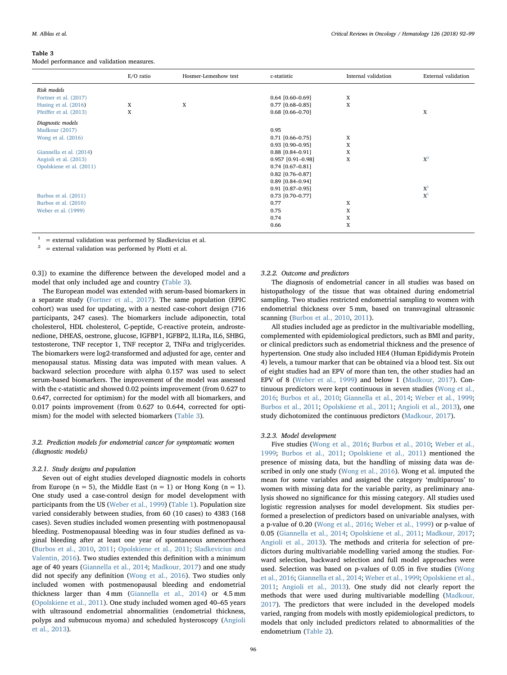#### M. Alblas et al. *Critical Reviews in Oncology / Hematology 126 (2018) 92–99*

#### <span id="page-4-0"></span>Table 3

Model performance and validation measures.

|                          | E/O ratio | Hosmer-Lemeshow test | c-statistic         | Internal validation | External validation |
|--------------------------|-----------|----------------------|---------------------|---------------------|---------------------|
| Risk models              |           |                      |                     |                     |                     |
| Fortner et al. (2017)    |           |                      | $0.64$ [0.60-0.69]  | X                   |                     |
| Husing et al. (2016)     | X         | X                    | $0.77$ [0.68-0.85]  | X                   |                     |
| Pfeiffer et al. (2013)   | X         |                      | $0.68$ [0.66-0.70]  |                     | X                   |
| Diagnostic models        |           |                      |                     |                     |                     |
| Madkour (2017)           |           |                      | 0.95                |                     |                     |
| Wong et al. (2016)       |           |                      | $0.71$ [0.66-0.75]  | X                   |                     |
|                          |           |                      | $0.93$ [0.90-0.95]  | X                   |                     |
| Giannella et al. (2014)  |           |                      | $0.88$ [0.84-0.91]  | X                   |                     |
| Angioli et al. (2013)    |           |                      | $0.957$ [0.91-0.98] | X                   | $X^2$               |
| Opolskiene et al. (2011) |           |                      | $0.74$ [0.67-0.81]  |                     |                     |
|                          |           |                      | $0.82$ [0.76-0.87]  |                     |                     |
|                          |           |                      | $0.89$ [0.84-0.94]  |                     |                     |
|                          |           |                      | $0.91$ [0.87-0.95]  |                     | $X^1$               |
| Burbos et al. (2011)     |           |                      | $0.73$ [0.70-0.77]  |                     | $X^1$               |
| Burbos et al. (2010)     |           |                      | 0.77                | X                   |                     |
| Weber et al. (1999)      |           |                      | 0.75                | X                   |                     |
|                          |           |                      | 0.74                | X                   |                     |
|                          |           |                      | 0.66                | X                   |                     |

<span id="page-4-2"></span>= external validation was performed by Sladkevicius et al.

<span id="page-4-1"></span>= external validation was performed by Plotti et al.

0.3]) to examine the difference between the developed model and a model that only included age and country [\(Table 3](#page-4-0)).

The European model was extended with serum-based biomarkers in a separate study [\(Fortner et al., 2017](#page-6-13)). The same population (EPIC cohort) was used for updating, with a nested case-cohort design (716 participants, 247 cases). The biomarkers include adiponectin, total cholesterol, HDL cholesterol, C-peptide, C-reactive protein, androstenedione, DHEAS, oestrone, glucose, IGFBP1, IGFBP2, IL1Ra, IL6, SHBG, testosterone, TNF receptor 1, TNF receptor 2, TNF $\alpha$  and triglycerides. The biomarkers were log2-transformed and adjusted for age, center and menopausal status. Missing data was imputed with mean values. A backward selection procedure with alpha 0.157 was used to select serum-based biomarkers. The improvement of the model was assessed with the c-statistic and showed 0.02 points improvement (from 0.627 to 0.647, corrected for optimism) for the model with all biomarkers, and 0.017 points improvement (from 0.627 to 0.644, corrected for optimism) for the model with selected biomarkers [\(Table 3\)](#page-4-0).

## 3.2. Prediction models for endometrial cancer for symptomatic women (diagnostic models)

#### 3.2.1. Study designs and population

Seven out of eight studies developed diagnostic models in cohorts from Europe ( $n = 5$ ), the Middle East ( $n = 1$ ) or Hong Kong ( $n = 1$ ). One study used a case-control design for model development with participants from the US ([Weber et al., 1999](#page-7-6)) [\(Table 1\)](#page-2-0). Population size varied considerably between studies, from 60 (10 cases) to 4383 (168 cases). Seven studies included women presenting with postmenopausal bleeding. Postmenopausal bleeding was in four studies defined as vaginal bleeding after at least one year of spontaneous amenorrhoea ([Burbos et al., 2010](#page-6-7), [2011;](#page-6-16) [Opolskiene et al., 2011](#page-7-5); [Sladkevicius and](#page-7-7) [Valentin, 2016](#page-7-7)). Two studies extended this definition with a minimum age of 40 years [\(Giannella et al., 2014;](#page-6-8) [Madkour, 2017](#page-6-14)) and one study did not specify any definition [\(Wong et al., 2016](#page-7-2)). Two studies only included women with postmenopausal bleeding and endometrial thickness larger than 4 mm ([Giannella et al., 2014](#page-6-8)) or 4.5 mm ([Opolskiene et al., 2011\)](#page-7-5). One study included women aged 40–65 years with ultrasound endometrial abnormalities (endometrial thickness, polyps and submucous myoma) and scheduled hysteroscopy [\(Angioli](#page-6-15) [et al., 2013](#page-6-15)).

#### 3.2.2. Outcome and predictors

The diagnosis of endometrial cancer in all studies was based on histopathology of the tissue that was obtained during endometrial sampling. Two studies restricted endometrial sampling to women with endometrial thickness over 5 mm, based on transvaginal ultrasonic scanning [\(Burbos et al., 2010](#page-6-7), [2011\)](#page-6-16).

All studies included age as predictor in the multivariable modelling, complemented with epidemiological predictors, such as BMI and parity, or clinical predictors such as endometrial thickness and the presence of hypertension. One study also included HE4 (Human Epididymis Protein 4) levels, a tumour marker that can be obtained via a blood test. Six out of eight studies had an EPV of more than ten, the other studies had an EPV of 8 ([Weber et al., 1999\)](#page-7-6) and below 1 ([Madkour, 2017](#page-6-14)). Continuous predictors were kept continuous in seven studies [\(Wong et al.,](#page-7-2) [2016;](#page-7-2) Burbos [et al., 2010;](#page-6-7) [Giannella et al., 2014;](#page-6-8) [Weber et al., 1999](#page-7-6); [Burbos et al., 2011;](#page-6-16) [Opolskiene et al., 2011;](#page-7-5) [Angioli et al., 2013\)](#page-6-15), one study dichotomized the continuous predictors [\(Madkour, 2017\)](#page-6-14).

#### 3.2.3. Model development

Five studies [\(Wong et al., 2016](#page-7-2); [Burbos et al., 2010](#page-6-7); [Weber et al.,](#page-7-6) [1999;](#page-7-6) [Burbos et al., 2011;](#page-6-16) [Opolskiene et al., 2011](#page-7-5)) mentioned the presence of missing data, but the handling of missing data was described in only one study [\(Wong et al., 2016](#page-7-2)). Wong et al. imputed the mean for some variables and assigned the category 'multiparous' to women with missing data for the variable parity, as preliminary analysis showed no significance for this missing category. All studies used logistic regression analyses for model development. Six studies performed a preselection of predictors based on univariable analyses, with a p-value of 0.20 [\(Wong et al., 2016](#page-7-2); [Weber et al., 1999\)](#page-7-6) or p-value of 0.05 [\(Giannella et al., 2014](#page-6-8); [Opolskiene et al., 2011](#page-7-5); [Madkour, 2017](#page-6-14); [Angioli et al., 2013\)](#page-6-15). The methods and criteria for selection of predictors during multivariable modelling varied among the studies. Forward selection, backward selection and full model approaches were used. Selection was based on p-values of 0.05 in five studies [\(Wong](#page-7-2) [et al., 2016;](#page-7-2) [Giannella et al., 2014;](#page-6-8) [Weber et al., 1999](#page-7-6); [Opolskiene et al.,](#page-7-5) [2011;](#page-7-5) [Angioli et al., 2013\)](#page-6-15). One study did not clearly report the methods that were used during multivariable modelling ([Madkour,](#page-6-14) [2017\)](#page-6-14). The predictors that were included in the developed models varied, ranging from models with mostly epidemiological predictors, to models that only included predictors related to abnormalities of the endometrium ([Table 2](#page-3-0)).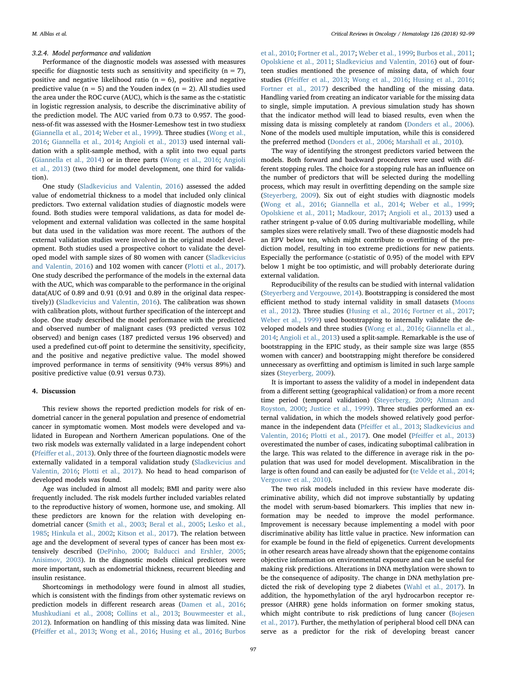## 3.2.4. Model performance and validation

Performance of the diagnostic models was assessed with measures specific for diagnostic tests such as sensitivity and specificity  $(n = 7)$ , positive and negative likelihood ratio  $(n = 6)$ , positive and negative predictive value ( $n = 5$ ) and the Youden index ( $n = 2$ ). All studies used the area under the ROC curve (AUC), which is the same as the c-statistic in logistic regression analysis, to describe the discriminative ability of the prediction model. The AUC varied from 0.73 to 0.957. The goodness-of-fit was assessed with the Hosmer-Lemeshow test in two studiesx ([Giannella et al., 2014;](#page-6-8) [Weber et al., 1999](#page-7-6)). Three studies [\(Wong et al.,](#page-7-2) [2016;](#page-7-2) [Giannella et al., 2014](#page-6-8); [Angioli et al., 2013\)](#page-6-15) used internal validation with a split-sample method, with a split into two equal parts ([Giannella et al., 2014\)](#page-6-8) or in three parts ([Wong et al., 2016;](#page-7-2) [Angioli](#page-6-15) [et al., 2013](#page-6-15)) (two third for model development, one third for validation).

One study [\(Sladkevicius and Valentin, 2016](#page-7-7)) assessed the added value of endometrial thickness to a model that included only clinical predictors. Two external validation studies of diagnostic models were found. Both studies were temporal validations, as data for model development and external validation was collected in the same hospital but data used in the validation was more recent. The authors of the external validation studies were involved in the original model development. Both studies used a prospective cohort to validate the developed model with sample sizes of 80 women with cancer ([Sladkevicius](#page-7-7) [and Valentin, 2016](#page-7-7)) and 102 women with cancer [\(Plotti et al., 2017](#page-7-8)). One study described the performance of the models in the external data with the AUC, which was comparable to the performance in the original data(AUC of 0.89 and 0.91 (0.91 and 0.89 in the original data respectively)) [\(Sladkevicius and Valentin, 2016](#page-7-7)). The calibration was shown with calibration plots, without further specification of the intercept and slope. One study described the model performance with the predicted and observed number of malignant cases (93 predicted versus 102 observed) and benign cases (187 predicted versus 196 observed) and used a predefined cut-off point to determine the sensitivity, specificity, and the positive and negative predictive value. The model showed improved performance in terms of sensitivity (94% versus 89%) and positive predictive value (0.91 versus 0.73).

## 4. Discussion

This review shows the reported prediction models for risk of endometrial cancer in the general population and presence of endometrial cancer in symptomatic women. Most models were developed and validated in European and Northern American populations. One of the two risk models was externally validated in a large independent cohort (Pfeiff[er et al., 2013](#page-7-1)). Only three of the fourteen diagnostic models were externally validated in a temporal validation study ([Sladkevicius and](#page-7-7) [Valentin, 2016](#page-7-7); [Plotti et al., 2017\)](#page-7-8). No head to head comparison of developed models was found.

Age was included in almost all models; BMI and parity were also frequently included. The risk models further included variables related to the reproductive history of women, hormone use, and smoking. All these predictors are known for the relation with developing endometrial cancer [\(Smith et al., 2003](#page-7-9); [Beral et al., 2005](#page-6-17); [Lesko et al.,](#page-6-18) [1985;](#page-6-18) Hinkula [et al., 2002;](#page-6-19) [Kitson et al., 2017](#page-6-20)). The relation between age and the development of several types of cancer has been most extensively described [\(DePinho, 2000;](#page-6-21) [Balducci and Ershler, 2005](#page-6-22); [Anisimov, 2003](#page-6-23)). In the diagnostic models clinical predictors were more important, such as endometrial thickness, recurrent bleeding and insulin resistance.

Shortcomings in methodology were found in almost all studies, which is consistent with the findings from other systematic reviews on prediction models in different research areas [\(Damen et al., 2016](#page-6-10); [Mushkudiani et al., 2008](#page-7-4); [Collins et al., 2013](#page-6-24); [Bouwmeester et al.,](#page-6-25) [2012\)](#page-6-25). Information on handling of this missing data was limited. Nine (Pfeiff[er et al., 2013;](#page-7-1) [Wong et al., 2016](#page-7-2); [Husing et al., 2016;](#page-6-6) [Burbos](#page-6-7)

[et al., 2010;](#page-6-7) [Fortner et al., 2017](#page-6-13); [Weber et al., 1999;](#page-7-6) [Burbos et al., 2011](#page-6-16); [Opolskiene et al., 2011;](#page-7-5) [Sladkevicius and Valentin, 2016](#page-7-7)) out of fourteen studies mentioned the presence of missing data, of which four studies (Pfeiff[er et al., 2013](#page-7-1); [Wong et al., 2016;](#page-7-2) [Husing et al., 2016](#page-6-6); [Fortner et al., 2017\)](#page-6-13) described the handling of the missing data. Handling varied from creating an indicator variable for the missing data to single, simple imputation. A previous simulation study has shown that the indicator method will lead to biased results, even when the missing data is missing completely at random [\(Donders et al., 2006](#page-6-26)). None of the models used multiple imputation, while this is considered the preferred method [\(Donders et al., 2006;](#page-6-26) [Marshall et al., 2010\)](#page-6-27).

The way of identifying the strongest predictors varied between the models. Both forward and backward procedures were used with different stopping rules. The choice for a stopping rule has an influence on the number of predictors that will be selected during the modelling process, which may result in overfitting depending on the sample size ([Steyerberg, 2009\)](#page-7-10). Six out of eight studies with diagnostic models ([Wong et al., 2016](#page-7-2); [Giannella et al., 2014;](#page-6-8) [Weber et al., 1999](#page-7-6); [Opolskiene et al., 2011;](#page-7-5) [Madkour, 2017;](#page-6-14) Angioli [et al., 2013\)](#page-6-15) used a rather stringent p-value of 0.05 during multivariable modelling, while samples sizes were relatively small. Two of these diagnostic models had an EPV below ten, which might contribute to overfitting of the prediction model, resulting in too extreme predictions for new patients. Especially the performance (c-statistic of 0.95) of the model with EPV below 1 might be too optimistic, and will probably deteriorate during external validation.

Reproducibility of the results can be studied with internal validation ([Steyerberg and Vergouwe, 2014\)](#page-7-11). Bootstrapping is considered the most efficient method to study internal validity in small datasets [\(Moons](#page-6-28) [et al., 2012](#page-6-28)). Three studies [\(Husing et al., 2016;](#page-6-6) [Fortner et al., 2017](#page-6-13); [Weber et al., 1999\)](#page-7-6) used bootstrapping to internally validate the developed models and three studies ([Wong et al., 2016;](#page-7-2) [Giannella et al.,](#page-6-8) [2014;](#page-6-8) [Angioli et al., 2013](#page-6-15)) used a split-sample. Remarkable is the use of bootstrapping in the EPIC study, as their sample size was large (855 women with cancer) and bootstrapping might therefore be considered unnecessary as overfitting and optimism is limited in such large sample sizes ([Steyerberg, 2009](#page-7-10)).

It is important to assess the validity of a model in independent data from a different setting (geographical validation) or from a more recent time period (temporal validation) ([Steyerberg, 2009;](#page-7-10) [Altman and](#page-6-29) [Royston, 2000;](#page-6-29) [Justice et al., 1999\)](#page-6-30). Three studies performed an external validation, in which the models showed relatively good performance in the independent data (Pfeiff[er et al., 2013](#page-7-1); [Sladkevicius and](#page-7-7) [Valentin, 2016;](#page-7-7) [Plotti et al., 2017\)](#page-7-8). One model (Pfeiff[er et al., 2013\)](#page-7-1) overestimated the number of cases, indicating suboptimal calibration in the large. This was related to the difference in average risk in the population that was used for model development. Miscalibration in the large is often found and can easily be adjusted for [\(te Velde et al., 2014](#page-7-12); [Vergouwe et al., 2010\)](#page-7-13).

The two risk models included in this review have moderate discriminative ability, which did not improve substantially by updating the model with serum-based biomarkers. This implies that new information may be needed to improve the model performance. Improvement is necessary because implementing a model with poor discriminative ability has little value in practice. New information can for example be found in the field of epigenetics. Current developments in other research areas have already shown that the epigenome contains objective information on environmental exposure and can be useful for making risk predictions. Alterations in DNA methylation were shown to be the consequence of adiposity. The change in DNA methylation predicted the risk of developing type 2 diabetes ([Wahl et al., 2017\)](#page-7-14). In addition, the hypomethylation of the aryl hydrocarbon receptor repressor (AHRR) gene holds information on former smoking status, which might contribute to risk predictions of lung cancer ([Bojesen](#page-6-31) [et al., 2017](#page-6-31)). Further, the methylation of peripheral blood cell DNA can serve as a predictor for the risk of developing breast cancer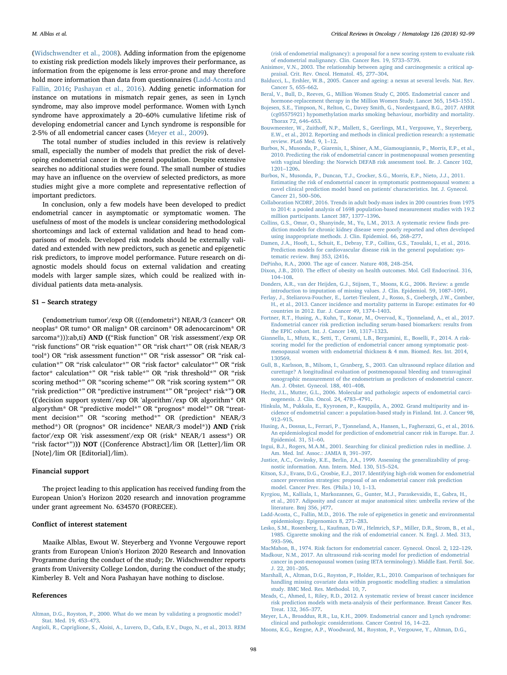([Widschwendter et al., 2008\)](#page-7-15). Adding information from the epigenome to existing risk prediction models likely improves their performance, as information from the epigenome is less error-prone and may therefore hold more information than data from questionnaires [\(Ladd-Acosta and](#page-6-32) [Fallin, 2016](#page-6-32); [Pashayan et al., 2016\)](#page-7-16). Adding genetic information for instance on mutations in mismatch repair genes, as seen in Lynch syndrome, may also improve model performance. Women with Lynch syndrome have approximately a 20–60% cumulative lifetime risk of developing endometrial cancer and Lynch syndrome is responsible for 2-5% of all endometrial cancer cases [\(Meyer et al., 2009\)](#page-6-33).

The total number of studies included in this review is relatively small, especially the number of models that predict the risk of developing endometrial cancer in the general population. Despite extensive searches no additional studies were found. The small number of studies may have an influence on the overview of selected predictors, as more studies might give a more complete and representative reflection of important predictors.

In conclusion, only a few models have been developed to predict endometrial cancer in asymptomatic or symptomatic women. The usefulness of most of the models is unclear considering methodological shortcomings and lack of external validation and head to head comparisons of models. Developed risk models should be externally validated and extended with new predictors, such as genetic and epigenetic risk predictors, to improve model performance. Future research on diagnostic models should focus on external validation and creating models with larger sample sizes, which could be realized with individual patients data meta-analysis.

#### S1 – Search strategy

('endometrium tumor'/exp OR (((endometri\*) NEAR/3 (cancer\* OR neoplas\* OR tumo\* OR malign\* OR carcinom\* OR adenocarcinom\* OR sarcoma\*))):ab,ti) AND (("Risk function" OR 'risk assessment'/exp OR "risk functions" OR "risk equation\*" OR "risk chart\*" OR (risk NEAR/3 tool\*) OR "risk assessment function\*" OR "risk assessor" OR "risk calculation\*" OR "risk calculator\*" OR "risk factor\* calculator\*" OR "risk factor\* calculation\*" OR "risk table\*" OR "risk threshold\*" OR "risk scoring method\*" OR "scoring scheme\*" OR "risk scoring system\*" OR "risk prediction\*" OR "predictive instrument\*" OR "project\* risk\*") OR (('decision support system'/exp OR 'algorithm'/exp OR algorithm\* OR algorythm\* OR "predictive model\*" OR "prognos\* model\*" OR "treatment decision\*" OR "scoring method\*" OR (prediction\* NEAR/3) method\*) OR (prognos\* OR incidence\* NEAR/3 model\*)) AND ('risk factor'/exp OR 'risk assessment'/exp OR (risk\* NEAR/1 assess\*) OR "risk factor\*"))) NOT ([Conference Abstract]/lim OR [Letter]/lim OR [Note]/lim OR [Editorial]/lim).

#### Financial support

The project leading to this application has received funding from the European Union's Horizon 2020 research and innovation programme under grant agreement No. 634570 (FORECEE).

## Conflict of interest statement

Maaike Alblas, Ewout W. Steyerberg and Yvonne Vergouwe report grants from European Union's Horizon 2020 Research and Innovation Programme during the conduct of the study; Dr. Widschwendter reports grants from University College London, during the conduct of the study; Kimberley B. Velt and Nora Pashayan have nothing to disclose.

#### References

<span id="page-6-29"></span>[Altman, D.G., Royston, P., 2000. What do we mean by validating a prognostic model?](http://refhub.elsevier.com/S1040-8428(17)30502-4/sbref0005) [Stat. Med. 19, 453](http://refhub.elsevier.com/S1040-8428(17)30502-4/sbref0005)–473.

[\(risk of endometrial malignancy\): a proposal for a new scoring system to evaluate risk](http://refhub.elsevier.com/S1040-8428(17)30502-4/sbref0010) [of endometrial malignancy. Clin. Cancer Res. 19, 5733](http://refhub.elsevier.com/S1040-8428(17)30502-4/sbref0010)–5739.

- <span id="page-6-23"></span>[Anisimov, V.N., 2003. The relationship between aging and carcinogenesis: a critical ap](http://refhub.elsevier.com/S1040-8428(17)30502-4/sbref0015)[praisal. Crit. Rev. Oncol. Hematol. 45, 277](http://refhub.elsevier.com/S1040-8428(17)30502-4/sbref0015)–304.
- <span id="page-6-22"></span>[Balducci, L., Ershler, W.B., 2005. Cancer and ageing: a nexus at several levels. Nat. Rev.](http://refhub.elsevier.com/S1040-8428(17)30502-4/sbref0020) [Cancer 5, 655](http://refhub.elsevier.com/S1040-8428(17)30502-4/sbref0020)–662.
- <span id="page-6-17"></span>[Beral, V., Bull, D., Reeves, G., Million Women Study C, 2005. Endometrial cancer and](http://refhub.elsevier.com/S1040-8428(17)30502-4/sbref0025) [hormone-replacement therapy in the Million Women Study. Lancet 365, 1543](http://refhub.elsevier.com/S1040-8428(17)30502-4/sbref0025)–1551.
- <span id="page-6-31"></span>[Bojesen, S.E., Timpson, N., Relton, C., Davey Smith, G., Nordestgaard, B.G., 2017. AHRR](http://refhub.elsevier.com/S1040-8428(17)30502-4/sbref0030) [\(cg05575921\) hypomethylation marks smoking behaviour, morbidity and mortality.](http://refhub.elsevier.com/S1040-8428(17)30502-4/sbref0030) [Thorax 72, 646](http://refhub.elsevier.com/S1040-8428(17)30502-4/sbref0030)–653.
- <span id="page-6-25"></span>Bouwmeester, W., Zuithoff[, N.P., Mallett, S., Geerlings, M.I., Vergouwe, Y., Steyerberg,](http://refhub.elsevier.com/S1040-8428(17)30502-4/sbref0035) [E.W., et al., 2012. Reporting and methods in clinical prediction research: a systematic](http://refhub.elsevier.com/S1040-8428(17)30502-4/sbref0035) [review. PLoS Med. 9, 1](http://refhub.elsevier.com/S1040-8428(17)30502-4/sbref0035)–12.
- <span id="page-6-7"></span>[Burbos, N., Musonda, P., Giarenis, I., Shiner, A.M., Giamougiannis, P., Morris, E.P., et al.,](http://refhub.elsevier.com/S1040-8428(17)30502-4/sbref0040) [2010. Predicting the risk of endometrial cancer in postmenopausal women presenting](http://refhub.elsevier.com/S1040-8428(17)30502-4/sbref0040) [with vaginal bleeding: the Norwich DEFAB risk assessment tool. Br. J. Cancer 102,](http://refhub.elsevier.com/S1040-8428(17)30502-4/sbref0040) 1201–[1206](http://refhub.elsevier.com/S1040-8428(17)30502-4/sbref0040).
- <span id="page-6-16"></span>[Burbos, N., Musonda, P., Duncan, T.J., Crocker, S.G., Morris, E.P., Nieto, J.J., 2011.](http://refhub.elsevier.com/S1040-8428(17)30502-4/sbref0045) [Estimating the risk of endometrial cancer in symptomatic postmenopausal women: a](http://refhub.elsevier.com/S1040-8428(17)30502-4/sbref0045) [novel clinical prediction model based on patients' characteristics. Int. J. Gynecol.](http://refhub.elsevier.com/S1040-8428(17)30502-4/sbref0045) [Cancer 21, 500](http://refhub.elsevier.com/S1040-8428(17)30502-4/sbref0045)–506.
- <span id="page-6-3"></span>[Collaboration NCDRF, 2016. Trends in adult body-mass index in 200 countries from 1975](http://refhub.elsevier.com/S1040-8428(17)30502-4/sbref0050) [to 2014: a pooled analysis of 1698 population-based measurement studies with 19.2](http://refhub.elsevier.com/S1040-8428(17)30502-4/sbref0050) [million participants. Lancet 387, 1377](http://refhub.elsevier.com/S1040-8428(17)30502-4/sbref0050)–1396.
- <span id="page-6-24"></span>[Collins, G.S., Omar, O., Shanyinde, M., Yu, L.M., 2013. A systematic review](http://refhub.elsevier.com/S1040-8428(17)30502-4/sbref0055) finds pre[diction models for chronic kidney disease were poorly reported and often developed](http://refhub.elsevier.com/S1040-8428(17)30502-4/sbref0055) [using inappropriate methods. J. Clin. Epidemiol. 66, 268](http://refhub.elsevier.com/S1040-8428(17)30502-4/sbref0055)–277.
- <span id="page-6-10"></span>[Damen, J.A., Hooft, L., Schuit, E., Debray, T.P., Collins, G.S., Tzoulaki, I., et al., 2016.](http://refhub.elsevier.com/S1040-8428(17)30502-4/sbref0060) [Prediction models for cardiovascular disease risk in the general population: sys](http://refhub.elsevier.com/S1040-8428(17)30502-4/sbref0060)[tematic review. Bmj 353, i2416.](http://refhub.elsevier.com/S1040-8428(17)30502-4/sbref0060)
- <span id="page-6-21"></span>[DePinho, R.A., 2000. The age of cancer. Nature 408, 248](http://refhub.elsevier.com/S1040-8428(17)30502-4/sbref0065)–254.
- <span id="page-6-2"></span>Dixon, J.B., 2010. The eff[ect of obesity on health outcomes. Mol. Cell Endocrinol. 316,](http://refhub.elsevier.com/S1040-8428(17)30502-4/sbref0070) 104–[108](http://refhub.elsevier.com/S1040-8428(17)30502-4/sbref0070).
- <span id="page-6-26"></span>[Donders, A.R., van der Heijden, G.J., Stijnen, T., Moons, K.G., 2006. Review: a gentle](http://refhub.elsevier.com/S1040-8428(17)30502-4/sbref0075) [introduction to imputation of missing values. J. Clin. Epidemiol. 59, 1087](http://refhub.elsevier.com/S1040-8428(17)30502-4/sbref0075)–1091.
- <span id="page-6-0"></span>[Ferlay, J., Steliarova-Foucher, E., Lortet-Tieulent, J., Rosso, S., Coebergh, J.W., Comber,](http://refhub.elsevier.com/S1040-8428(17)30502-4/sbref0080) [H., et al., 2013. Cancer incidence and mortality patterns in Europe: estimates for 40](http://refhub.elsevier.com/S1040-8428(17)30502-4/sbref0080) [countries in 2012. Eur. J. Cancer 49, 1374](http://refhub.elsevier.com/S1040-8428(17)30502-4/sbref0080)–1403.
- <span id="page-6-13"></span>[Fortner, R.T., Husing, A., Kuhn, T., Konar, M., Overvad, K., Tjonneland, A., et al., 2017.](http://refhub.elsevier.com/S1040-8428(17)30502-4/sbref0085) [Endometrial cancer risk prediction including serum-based biomarkers: results from](http://refhub.elsevier.com/S1040-8428(17)30502-4/sbref0085) [the EPIC cohort. Int. J. Cancer 140, 1317](http://refhub.elsevier.com/S1040-8428(17)30502-4/sbref0085)–1323.
- <span id="page-6-8"></span>[Giannella, L., Mfuta, K., Setti, T., Cerami, L.B., Bergamini, E., Boselli, F., 2014. A risk](http://refhub.elsevier.com/S1040-8428(17)30502-4/sbref0090)[scoring model for the prediction of endometrial cancer among symptomatic post](http://refhub.elsevier.com/S1040-8428(17)30502-4/sbref0090)[menopausal women with endometrial thickness & 4 mm. Biomed. Res. Int. 2014,](http://refhub.elsevier.com/S1040-8428(17)30502-4/sbref0090) [130569](http://refhub.elsevier.com/S1040-8428(17)30502-4/sbref0090).
- <span id="page-6-9"></span>Gull, [B., Karlsson, B., Milsom, I., Granberg, S., 2003. Can ultrasound replace dilation and](http://refhub.elsevier.com/S1040-8428(17)30502-4/sbref0095) [curettage? A longitudinal evaluation of postmenopausal bleeding and transvaginal](http://refhub.elsevier.com/S1040-8428(17)30502-4/sbref0095) [sonographic measurement of the endometrium as predictors of endometrial cancer.](http://refhub.elsevier.com/S1040-8428(17)30502-4/sbref0095) [Am. J. Obstet. Gynecol. 188, 401](http://refhub.elsevier.com/S1040-8428(17)30502-4/sbref0095)–408.
- <span id="page-6-5"></span>[Hecht, J.L., Mutter, G.L., 2006. Molecular and pathologic aspects of endometrial carci](http://refhub.elsevier.com/S1040-8428(17)30502-4/sbref0100)[nogenesis. J. Clin. Oncol. 24, 4783](http://refhub.elsevier.com/S1040-8428(17)30502-4/sbref0100)–4791.
- <span id="page-6-19"></span>[Hinkula, M., Pukkala, E., Kyyronen, P., Kauppila, A., 2002. Grand multiparity and in](http://refhub.elsevier.com/S1040-8428(17)30502-4/sbref0105)[cidence of endometrial cancer: a population-based study in Finland. Int. J. Cancer 98,](http://refhub.elsevier.com/S1040-8428(17)30502-4/sbref0105) 912–[915](http://refhub.elsevier.com/S1040-8428(17)30502-4/sbref0105).
- <span id="page-6-6"></span>[Husing, A., Dossus, L., Ferrari, P., Tjonneland, A., Hansen, L., Fagherazzi, G., et al., 2016.](http://refhub.elsevier.com/S1040-8428(17)30502-4/sbref0110) [An epidemiological model for prediction of endometrial cancer risk in Europe. Eur. J.](http://refhub.elsevier.com/S1040-8428(17)30502-4/sbref0110) [Epidemiol. 31, 51](http://refhub.elsevier.com/S1040-8428(17)30502-4/sbref0110)–60.
- <span id="page-6-11"></span>[Ingui, B.J., Rogers, M.A.M., 2001. Searching for clinical prediction rules in medline. J.](http://refhub.elsevier.com/S1040-8428(17)30502-4/sbref0115) [Am. Med. Inf. Assoc.: JAMIA 8, 391](http://refhub.elsevier.com/S1040-8428(17)30502-4/sbref0115)–397.
- <span id="page-6-30"></span>[Justice, A.C., Covinsky, K.E., Berlin, J.A., 1999. Assessing the generalizability of prog](http://refhub.elsevier.com/S1040-8428(17)30502-4/sbref0120)[nostic information. Ann. Intern. Med. 130, 515](http://refhub.elsevier.com/S1040-8428(17)30502-4/sbref0120)–524.
- <span id="page-6-20"></span>[Kitson, S.J., Evans, D.G., Crosbie, E.J., 2017. Identifying high-risk women for endometrial](http://refhub.elsevier.com/S1040-8428(17)30502-4/sbref0125) [cancer prevention strategies: proposal of an endometrial cancer risk prediction](http://refhub.elsevier.com/S1040-8428(17)30502-4/sbref0125) [model. Cancer Prev. Res. \(Phila.\) 10, 1](http://refhub.elsevier.com/S1040-8428(17)30502-4/sbref0125)–13.
- <span id="page-6-1"></span>[Kyrgiou, M., Kalliala, I., Markozannes, G., Gunter, M.J., Paraskevaidis, E., Gabra, H.,](http://refhub.elsevier.com/S1040-8428(17)30502-4/sbref0130) [et al., 2017. Adiposity and cancer at major anatomical sites: umbrella review of the](http://refhub.elsevier.com/S1040-8428(17)30502-4/sbref0130) [literature. Bmj 356, j477](http://refhub.elsevier.com/S1040-8428(17)30502-4/sbref0130).
- <span id="page-6-32"></span>[Ladd-Acosta, C., Fallin, M.D., 2016. The role of epigenetics in genetic and environmental](http://refhub.elsevier.com/S1040-8428(17)30502-4/sbref0135) [epidemiology. Epigenomics 8, 271](http://refhub.elsevier.com/S1040-8428(17)30502-4/sbref0135)–283.
- <span id="page-6-18"></span>[Lesko, S.M., Rosenberg, L., Kaufman, D.W., Helmrich, S.P., Miller, D.R., Strom, B., et al.,](http://refhub.elsevier.com/S1040-8428(17)30502-4/sbref0140) [1985. Cigarette smoking and the risk of endometrial cancer. N. Engl. J. Med. 313,](http://refhub.elsevier.com/S1040-8428(17)30502-4/sbref0140) 593–[596](http://refhub.elsevier.com/S1040-8428(17)30502-4/sbref0140).

<span id="page-6-14"></span><span id="page-6-4"></span>[MacMahon, B., 1974. Risk factors for endometrial cancer. Gynecol. Oncol. 2, 122](http://refhub.elsevier.com/S1040-8428(17)30502-4/sbref0145)–129. [Madkour, N.M., 2017. An ultrasound risk-scoring model for prediction of endometrial](http://refhub.elsevier.com/S1040-8428(17)30502-4/sbref0150)

- [cancer in post-menopausal women \(using IETA terminology\). Middle East. Fertil. Soc.](http://refhub.elsevier.com/S1040-8428(17)30502-4/sbref0150) [J. 22, 201](http://refhub.elsevier.com/S1040-8428(17)30502-4/sbref0150)–205.
- <span id="page-6-27"></span>[Marshall, A., Altman, D.G., Royston, P., Holder, R.L., 2010. Comparison of techniques for](http://refhub.elsevier.com/S1040-8428(17)30502-4/sbref0155) [handling missing covariate data within prognostic modelling studies: a simulation](http://refhub.elsevier.com/S1040-8428(17)30502-4/sbref0155) [study. BMC Med. Res. Methodol. 10, 7.](http://refhub.elsevier.com/S1040-8428(17)30502-4/sbref0155)
- <span id="page-6-12"></span>[Meads, C., Ahmed, I., Riley, R.D., 2012. A systematic review of breast cancer incidence](http://refhub.elsevier.com/S1040-8428(17)30502-4/sbref0160) [risk prediction models with meta-analysis of their performance. Breast Cancer Res.](http://refhub.elsevier.com/S1040-8428(17)30502-4/sbref0160) [Treat. 132, 365](http://refhub.elsevier.com/S1040-8428(17)30502-4/sbref0160)–377.
- <span id="page-6-33"></span>[Meyer, L.A., Broaddus, R.R., Lu, K.H., 2009. Endometrial cancer and Lynch syndrome:](http://refhub.elsevier.com/S1040-8428(17)30502-4/sbref0165) [clinical and pathologic considerations. Cancer Control 16, 14](http://refhub.elsevier.com/S1040-8428(17)30502-4/sbref0165)–22.
- <span id="page-6-28"></span>[Moons, K.G., Kengne, A.P., Woodward, M., Royston, P., Vergouwe, Y., Altman, D.G.,](http://refhub.elsevier.com/S1040-8428(17)30502-4/sbref0170)

<span id="page-6-15"></span>[Angioli, R., Capriglione, S., Aloisi, A., Luvero, D., Cafa, E.V., Dugo, N., et al., 2013. REM](http://refhub.elsevier.com/S1040-8428(17)30502-4/sbref0010)